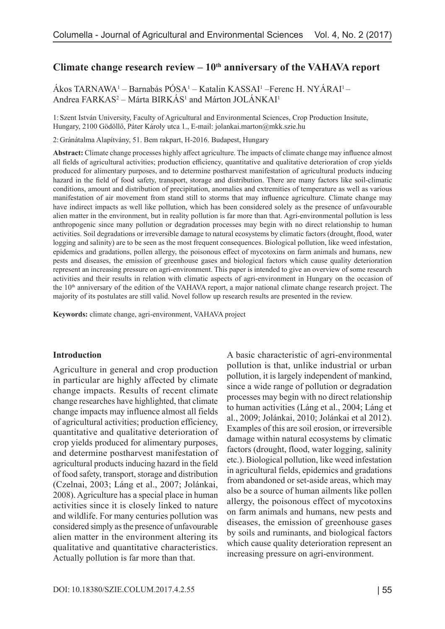# Climate change research review – 10<sup>th</sup> anniversary of the VAHAVA report

Ákos TARNAWA<sup>1</sup> – Barnabás PÓSA<sup>1</sup> – Katalin KASSAI<sup>1</sup> – Ferenc H. NYÁRAI<sup>1</sup> – Andrea FARKAS<sup>2</sup> – Márta BIRKÁS<sup>1</sup> and Márton JOLÁNKAI<sup>1</sup>

1: Szent István University, Faculty of Agricultural and Environmental Sciences, Crop Production Insitute, Hungary, 2100 Gödöllő, Páter Károly utca 1., E-mail: jolankai.marton@mkk.szie.hu

2: Gránátalma Alapítvány, 51. Bem rakpart, H-2016. Budapest, Hungary

**Abstract:** Climate change processes highly affect agriculture. The impacts of climate change may influence almost all fields of agricultural activities; production efficiency, quantitative and qualitative deterioration of crop yields produced for alimentary purposes, and to determine postharvest manifestation of agricultural products inducing hazard in the field of food safety, transport, storage and distribution. There are many factors like soil-climatic conditions, amount and distribution of precipitation, anomalies and extremities of temperature as well as various manifestation of air movement from stand still to storms that may influence agriculture. Climate change may have indirect impacts as well like pollution, which has been considered solely as the presence of unfavourable alien matter in the environment, but in reality pollution is far more than that. Agri-environmental pollution is less anthropogenic since many pollution or degradation processes may begin with no direct relationship to human activities. Soil degradations or irreversible damage to natural ecosystems by climatic factors (drought, flood, water logging and salinity) are to be seen as the most frequent consequences. Biological pollution, like weed infestation, epidemics and gradations, pollen allergy, the poisonous effect of mycotoxins on farm animals and humans, new pests and diseases, the emission of greenhouse gases and biological factors which cause quality deterioration represent an increasing pressure on agri-environment. This paper is intended to give an overview of some research activities and their results in relation with climatic aspects of agri-environment in Hungary on the occasion of the 10<sup>th</sup> anniversary of the edition of the VAHAVA report, a major national climate change research project. The majority of its postulates are still valid. Novel follow up research results are presented in the review.

**Keywords:** climate change, agri-environment, VAHAVA project

#### **Introduction**

Agriculture in general and crop production in particular are highly affected by climate change impacts. Results of recent climate change researches have highlighted, that climate change impacts may influence almost all fields of agricultural activities; production efficiency, quantitative and qualitative deterioration of crop yields produced for alimentary purposes, and determine postharvest manifestation of agricultural products inducing hazard in the field of food safety, transport, storage and distribution (Czelnai, 2003; Láng et al., 2007; Jolánkai, 2008). Agriculture has a special place in human activities since it is closely linked to nature and wildlife. For many centuries pollution was considered simply as the presence of unfavourable alien matter in the environment altering its qualitative and quantitative characteristics. Actually pollution is far more than that.

A basic characteristic of agri-environmental pollution is that, unlike industrial or urban pollution, it is largely independent of mankind, since a wide range of pollution or degradation processes may begin with no direct relationship to human activities (Láng et al., 2004; Láng et al., 2009; Jolánkai, 2010; Jolánkai et al 2012). Examples of this are soil erosion, or irreversible damage within natural ecosystems by climatic factors (drought, flood, water logging, salinity etc.). Biological pollution, like weed infestation in agricultural fields, epidemics and gradations from abandoned or set-aside areas, which may also be a source of human ailments like pollen allergy, the poisonous effect of mycotoxins on farm animals and humans, new pests and diseases, the emission of greenhouse gases by soils and ruminants, and biological factors which cause quality deterioration represent an increasing pressure on agri-environment.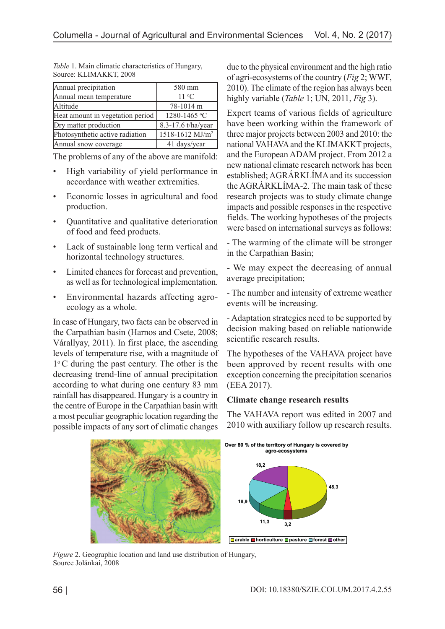| Annual precipitation             | 580 mm                      |
|----------------------------------|-----------------------------|
| Annual mean temperature          | $11 \text{ °C}$             |
| Altitude                         | 78-1014 m                   |
| Heat amount in vegetation period | 1280-1465 °C                |
| Dry matter production            | 8.3-17.6 t/ha/year          |
| Photosynthetic active radiation  | 1518-1612 MJ/m <sup>2</sup> |
| Annual snow coverage             | 41 days/year                |

*Table* 1. Main climatic characteristics of Hungary, Source: KLIMAKKT, 2008

The problems of any of the above are manifold:

- High variability of yield performance in accordance with weather extremities.
- Economic losses in agricultural and food production.
- Quantitative and qualitative deterioration of food and feed products.
- Lack of sustainable long term vertical and horizontal technology structures.
- Limited chances for forecast and prevention, as well as for technological implementation.
- Environmental hazards affecting agroecology as a whole.

In case of Hungary, two facts can be observed in the Carpathian basin (Harnos and Csete, 2008; Várallyay, 2011). In first place, the ascending levels of temperature rise, with a magnitude of 1o C during the past century. The other is the decreasing trend-line of annual precipitation according to what during one century 83 mm rainfall has disappeared. Hungary is a country in the centre of Europe in the Carpathian basin with a most peculiar geographic location regarding the possible impacts of any sort of climatic changes

due to the physical environment and the high ratio of agri-ecosystems of the country (*Fig* 2; WWF, 2010). The climate of the region has always been highly variable (*Table* 1; UN, 2011, *Fig* 3).

Expert teams of various fields of agriculture have been working within the framework of three major projects between 2003 and 2010: the national VAHAVA and the KLIMAKKT projects, and the European ADAM project. From 2012 a new national climate research network has been established; AGRÁRKLÍMA and its succession the AGRÁRKLÍMA-2. The main task of these research projects was to study climate change impacts and possible responses in the respective fields. The working hypotheses of the projects were based on international surveys as follows:

- The warming of the climate will be stronger in the Carpathian Basin;

- We may expect the decreasing of annual average precipitation;

- The number and intensity of extreme weather events will be increasing.

- Adaptation strategies need to be supported by decision making based on reliable nationwide scientific research results.

The hypotheses of the VAHAVA project have been approved by recent results with one exception concerning the precipitation scenarios (EEA 2017).

# **Climate change research results**

The VAHAVA report was edited in 2007 and 2010 with auxiliary follow up research results.



*Figure* 2. Geographic location and land use distribution of Hungary, Source Jolánkai, 2008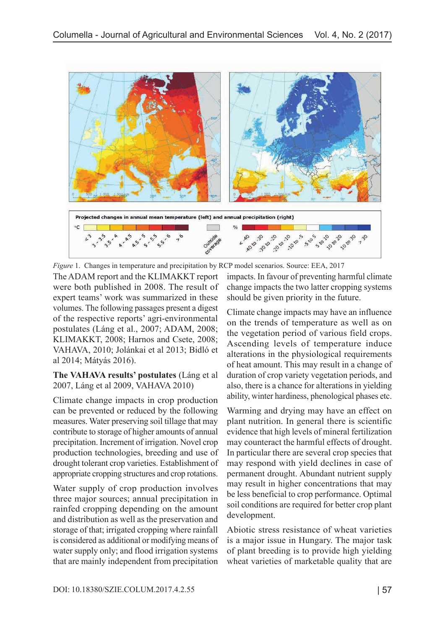

The ADAM report and the KLIMAKKT report were both published in 2008. The result of expert teams' work was summarized in these volumes. The following passages present a digest of the respective reports' agri-environmental postulates (Láng et al., 2007; ADAM, 2008; KLIMAKKT, 2008; Harnos and Csete, 2008; VAHAVA, 2010; Jolánkai et al 2013; Bidló et al 2014; Mátyás 2016). *Figure* 1. Changes in temperature and precipitation by RCP model scenarios. Source: EEA, 2017

**The VAHAVA results' postulates** (Láng et al 2007, Láng et al 2009, VAHAVA 2010)

Climate change impacts in crop production can be prevented or reduced by the following measures. Water preserving soil tillage that may contribute to storage of higher amounts of annual precipitation. Increment of irrigation. Novel crop production technologies, breeding and use of drought tolerant crop varieties. Establishment of appropriate cropping structures and crop rotations.

Water supply of crop production involves three major sources; annual precipitation in rainfed cropping depending on the amount and distribution as well as the preservation and storage of that; irrigated cropping where rainfall is considered as additional or modifying means of water supply only; and flood irrigation systems that are mainly independent from precipitation

impacts. In favour of preventing harmful climate change impacts the two latter cropping systems should be given priority in the future.

Climate change impacts may have an influence on the trends of temperature as well as on the vegetation period of various field crops. Ascending levels of temperature induce alterations in the physiological requirements of heat amount. This may result in a change of duration of crop variety vegetation periods, and also, there is a chance for alterations in yielding ability, winter hardiness, phenological phases etc.

Warming and drying may have an effect on plant nutrition. In general there is scientific evidence that high levels of mineral fertilization may counteract the harmful effects of drought. In particular there are several crop species that may respond with yield declines in case of permanent drought. Abundant nutrient supply may result in higher concentrations that may be less beneficial to crop performance. Optimal soil conditions are required for better crop plant development.

Abiotic stress resistance of wheat varieties is a major issue in Hungary. The major task of plant breeding is to provide high yielding wheat varieties of marketable quality that are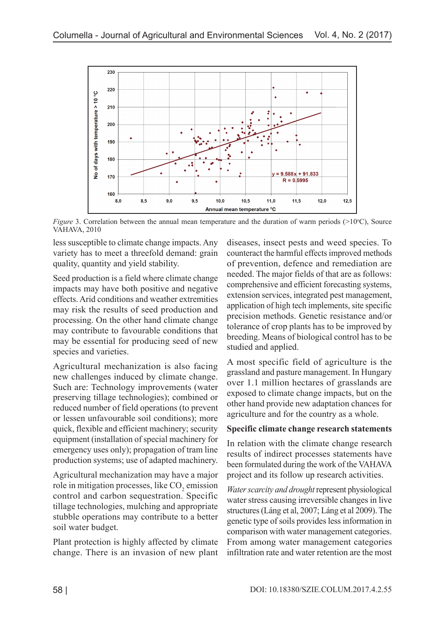

*Figure* 3. Correlation between the annual mean temperature and the duration of warm periods  $(>10^{\circ}C)$ , Source VAHAVA, 2010

less susceptible to climate change impacts. Any variety has to meet a threefold demand: grain quality, quantity and yield stability.

Seed production is a field where climate change impacts may have both positive and negative effects. Arid conditions and weather extremities may risk the results of seed production and processing. On the other hand climate change may contribute to favourable conditions that may be essential for producing seed of new species and varieties.

Agricultural mechanization is also facing new challenges induced by climate change. Such are: Technology improvements (water preserving tillage technologies); combined or reduced number of field operations (to prevent or lessen unfavourable soil conditions); more quick, flexible and efficient machinery; security equipment (installation of special machinery for emergency uses only); propagation of tram line production systems; use of adapted machinery.

Agricultural mechanization may have a major role in mitigation processes, like  $\mathrm{CO}_2$  emission control and carbon sequestration. Specific tillage technologies, mulching and appropriate stubble operations may contribute to a better soil water budget.

Plant protection is highly affected by climate change. There is an invasion of new plant

diseases, insect pests and weed species. To counteract the harmful effects improved methods of prevention, defence and remediation are needed. The major fields of that are as follows: comprehensive and efficient forecasting systems, extension services, integrated pest management, application of high tech implements, site specific precision methods. Genetic resistance and/or tolerance of crop plants has to be improved by breeding. Means of biological control has to be studied and applied.

A most specific field of agriculture is the grassland and pasture management. In Hungary over 1.1 million hectares of grasslands are exposed to climate change impacts, but on the other hand provide new adaptation chances for agriculture and for the country as a whole.

## **Specific climate change research statements**

In relation with the climate change research results of indirect processes statements have been formulated during the work of the VAHAVA project and its follow up research activities.

*Water scarcity and drought* represent physiological water stress causing irreversible changes in live structures (Láng et al, 2007; Láng et al 2009). The genetic type of soils provides less information in comparison with water management categories. From among water management categories infiltration rate and water retention are the most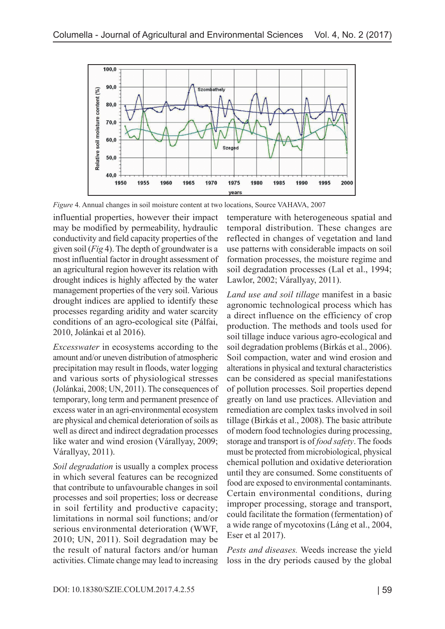

*Figure* 4. Annual changes in soil moisture content at two locations, Source VAHAVA, 2007

influential properties, however their impact may be modified by permeability, hydraulic conductivity and field capacity properties of the given soil (*Fig* 4). The depth of groundwater is a most influential factor in drought assessment of an agricultural region however its relation with drought indices is highly affected by the water management properties of the very soil. Various drought indices are applied to identify these processes regarding aridity and water scarcity conditions of an agro-ecological site (Pálfai, 2010, Jolánkai et al 2016).

*Excesswater* in ecosystems according to the amount and/or uneven distribution of atmospheric precipitation may result in floods, water logging and various sorts of physiological stresses (Jolánkai, 2008; UN, 2011). The consequences of temporary, long term and permanent presence of excess water in an agri-environmental ecosystem are physical and chemical deterioration of soils as well as direct and indirect degradation processes like water and wind erosion (Várallyay, 2009; Várallyay, 2011).

*Soil degradation* is usually a complex process in which several features can be recognized that contribute to unfavourable changes in soil processes and soil properties; loss or decrease in soil fertility and productive capacity; limitations in normal soil functions; and/or serious environmental deterioration (WWF, 2010; UN, 2011). Soil degradation may be the result of natural factors and/or human activities. Climate change may lead to increasing temperature with heterogeneous spatial and temporal distribution. These changes are reflected in changes of vegetation and land use patterns with considerable impacts on soil formation processes, the moisture regime and soil degradation processes (Lal et al., 1994; Lawlor, 2002; Várallyay, 2011).

*Land use and soil tillage* manifest in a basic agronomic technological process which has a direct influence on the efficiency of crop production. The methods and tools used for soil tillage induce various agro-ecological and soil degradation problems (Birkás et al., 2006). Soil compaction, water and wind erosion and alterations in physical and textural characteristics can be considered as special manifestations of pollution processes. Soil properties depend greatly on land use practices. Alleviation and remediation are complex tasks involved in soil tillage (Birkás et al., 2008). The basic attribute of modern food technologies during processing, storage and transport is of *food safety*. The foods must be protected from microbiological, physical chemical pollution and oxidative deterioration until they are consumed. Some constituents of food are exposed to environmental contaminants. Certain environmental conditions, during improper processing, storage and transport, could facilitate the formation (fermentation) of a wide range of mycotoxins (Láng et al., 2004, Eser et al 2017).

*Pests and diseases.* Weeds increase the yield loss in the dry periods caused by the global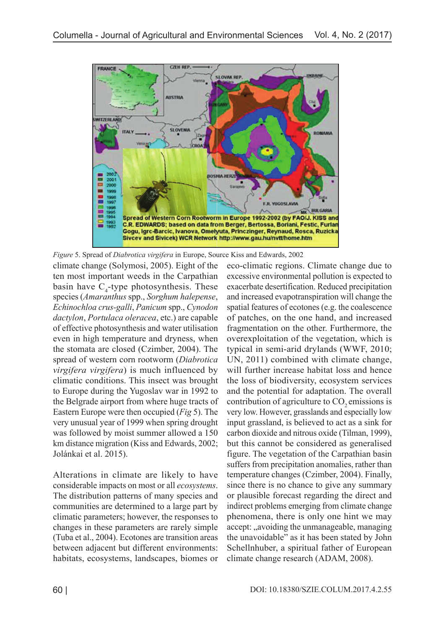

climate change (Solymosi, 2005). Eight of the ten most important weeds in the Carpathian basin have  $C_4$ -type photosynthesis. These species (*Amaranthus* spp., *Sorghum halepense*, *Echinochloa crus-galli*, *Panicum* spp., *Cynodon dactylon*, *Portulaca oleracea*, etc.) are capable of effective photosynthesis and water utilisation even in high temperature and dryness, when the stomata are closed (Czimber, 2004). The spread of western corn rootworm (*Diabrotica virgifera virgifera*) is much influenced by climatic conditions. This insect was brought to Europe during the Yugoslav war in 1992 to the Belgrade airport from where huge tracts of Eastern Europe were then occupied (*Fig* 5). The very unusual year of 1999 when spring drought was followed by moist summer allowed a 150 km distance migration (Kiss and Edwards, 2002; Jolánkai et al. 2015). *Figure* 5. Spread of *Diabrotica virgifera* in Europe, Source Kiss and Edwards, 2002

Alterations in climate are likely to have considerable impacts on most or all *ecosystems*. The distribution patterns of many species and communities are determined to a large part by climatic parameters; however, the responses to changes in these parameters are rarely simple (Tuba et al., 2004). Ecotones are transition areas between adjacent but different environments: habitats, ecosystems, landscapes, biomes or eco-climatic regions. Climate change due to excessive environmental pollution is expected to exacerbate desertification. Reduced precipitation and increased evapotranspiration will change the spatial features of ecotones (e.g. the coalescence of patches, on the one hand, and increased fragmentation on the other. Furthermore, the overexploitation of the vegetation, which is typical in semi-arid drylands (WWF, 2010; UN, 2011) combined with climate change, will further increase habitat loss and hence the loss of biodiversity, ecosystem services and the potential for adaptation. The overall contribution of agriculture to  $CO<sub>2</sub>$  emissions is very low. However, grasslands and especially low input grassland, is believed to act as a sink for carbon dioxide and nitrous oxide (Tilman, 1999), but this cannot be considered as generalised figure. The vegetation of the Carpathian basin suffers from precipitation anomalies, rather than temperature changes (Czimber, 2004). Finally, since there is no chance to give any summary or plausible forecast regarding the direct and indirect problems emerging from climate change phenomena, there is only one hint we may accept: "avoiding the unmanageable, managing the unavoidable" as it has been stated by John Schellnhuber, a spiritual father of European climate change research (ADAM, 2008).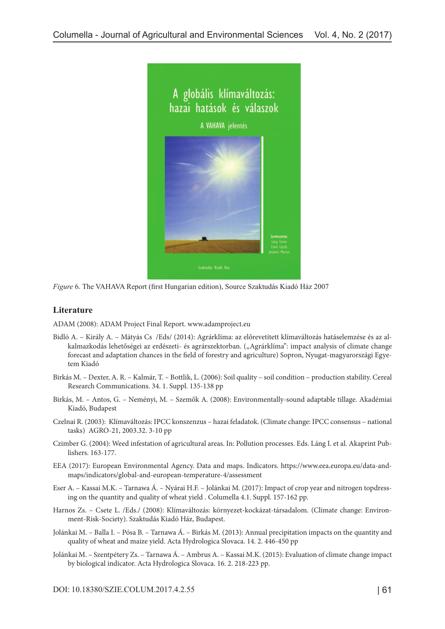

*Figure* 6. The VAHAVA Report (first Hungarian edition), Source Szaktudás Kiadó Ház 2007

### **Literature**

ADAM (2008): ADAM Project Final Report. [www.adamproject.eu](http://www.adamproject.eu)

- Bidló A. Király A. Mátyás Cs /Eds/ (2014): Agrárklíma: az előrevetített klímaváltozás hatáselemzése és az alkalmazkodás lehetőségei az erdészeti- és agrárszektorban. ("Agrárklíma": impact analysis of climate change forecast and adaptation chances in the field of forestry and agriculture) Sopron, Nyugat-magyarországi Egyetem Kiadó
- Birkás M. Dexter, A. R. Kalmár, T. Bottlik, L. (2006): Soil quality soil condition production stability. Cereal Research Communications. 34. 1. Suppl. 135-138 pp
- Birkás, M. Antos, G. Neményi, M. Szemők A. (2008): Environmentally-sound adaptable tillage. Akadémiai Kiadó, Budapest
- Czelnai R. (2003): Klímaváltozás: IPCC konszenzus hazai feladatok. (Climate change: IPCC consensus national tasks) AGRO-21, 2003.32. 3-10 pp
- Czimber G. (2004): Weed infestation of agricultural areas. In: Pollution processes. Eds. Láng I. et al. Akaprint Publishers. 163-177.
- EEA (2017): European Environmental Agency. Data and maps. Indicators. [https://www.eea.europa.eu/data-and](https://www.eea.europa.eu/data-and-maps/indicators/global-and-european-temperature-4/assessment)[maps/indicators/global-and-european-temperature-4/assessment](https://www.eea.europa.eu/data-and-maps/indicators/global-and-european-temperature-4/assessment)
- Eser A. Kassai M.K. Tarnawa Á. Nyárai H.F. Jolánkai M. (2017): Impact of crop year and nitrogen topdressing on the quantity and quality of wheat yield . Columella 4.1. Suppl. 157-162 pp.
- Harnos Zs. Csete L. /Eds./ (2008): Klímaváltozás: környezet-kockázat-társadalom. (Climate change: Environment-Risk-Society). Szaktudás Kiadó Ház, Budapest.
- Jolánkai M. Balla I. Pósa B. Tarnawa Á. Birkás M. (2013): Annual precipitation impacts on the quantity and quality of wheat and maize yield. Acta Hydrologica Slovaca. 14. 2. 446-450 pp
- Jolánkai M. Szentpétery Zs. Tarnawa Á. Ambrus A. Kassai M.K. (2015): Evaluation of climate change impact by biological indicator. Acta Hydrologica Slovaca. 16. 2. 218-223 pp.